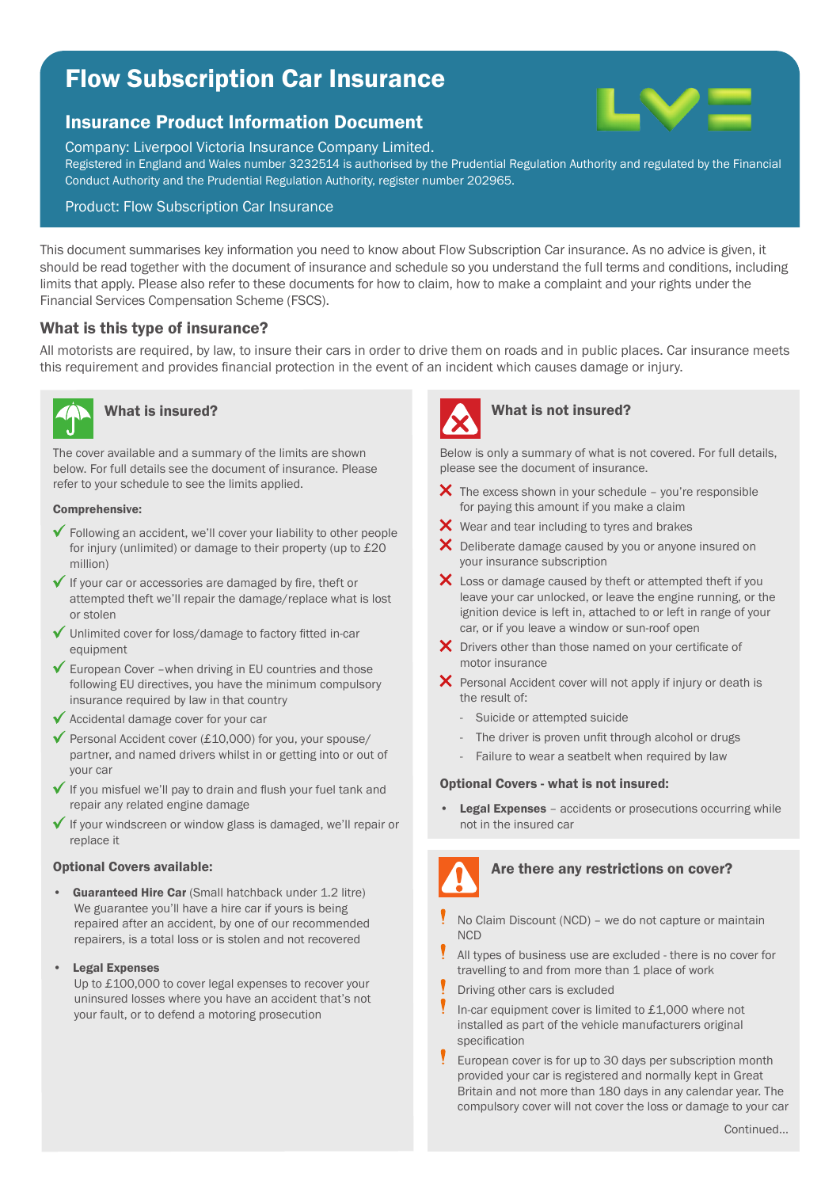# Flow Subscription Car Insurance

# Insurance Product Information Document

Company: Liverpool Victoria Insurance Company Limited.

Registered in England and Wales number 3232514 is authorised by the Prudential Regulation Authority and regulated by the Financial Conduct Authority and the Prudential Regulation Authority, register number 202965.

# Product: Flow Subscription Car Insurance

This document summarises key information you need to know about Flow Subscription Car insurance. As no advice is given, it should be read together with the document of insurance and schedule so you understand the full terms and conditions, including limits that apply. Please also refer to these documents for how to claim, how to make a complaint and your rights under the Financial Services Compensation Scheme (FSCS).

# What is this type of insurance?

All motorists are required, by law, to insure their cars in order to drive them on roads and in public places. Car insurance meets this requirement and provides financial protection in the event of an incident which causes damage or injury.



The cover available and a summary of the limits are shown below. For full details see the document of insurance. Please refer to your schedule to see the limits applied.

## Comprehensive:

- Following an accident, we'll cover your liability to other people for injury (unlimited) or damage to their property (up to £20 million)
- $\checkmark$  If your car or accessories are damaged by fire, theft or attempted theft we'll repair the damage/replace what is lost or stolen
- Unlimited cover for loss/damage to factory fitted in-car equipment
- $\checkmark$  European Cover –when driving in EU countries and those following EU directives, you have the minimum compulsory insurance required by law in that country
- $\checkmark$  Accidental damage cover for your car
- $\checkmark$  Personal Accident cover (£10,000) for you, your spouse/ partner, and named drivers whilst in or getting into or out of your car
- $\checkmark$  If you misfuel we'll pay to drain and flush your fuel tank and repair any related engine damage
- $\checkmark$  If your windscreen or window glass is damaged, we'll repair or replace it

## Optional Covers available:

- Guaranteed Hire Car (Small hatchback under 1.2 litre) We guarantee you'll have a hire car if yours is being repaired after an accident, by one of our recommended repairers, is a total loss or is stolen and not recovered
- Legal Expenses

Up to £100,000 to cover legal expenses to recover your uninsured losses where you have an accident that's not your fault, or to defend a motoring prosecution



# What is insured? What is not insured?

Below is only a summary of what is not covered. For full details, please see the document of insurance.

- $\bm{\times}$  The excess shown in your schedule you're responsible for paying this amount if you make a claim
- $\times$  Wear and tear including to tyres and brakes
- X Deliberate damage caused by you or anyone insured on your insurance subscription
- X Loss or damage caused by theft or attempted theft if you leave your car unlocked, or leave the engine running, or the ignition device is left in, attached to or left in range of your car, or if you leave a window or sun-roof open
- X Drivers other than those named on your certificate of motor insurance
- X Personal Accident cover will not apply if injury or death is the result of:
	- Suicide or attempted suicide
	- The driver is proven unfit through alcohol or drugs
	- Failure to wear a seatbelt when required by law

# Optional Covers - what is not insured:

**Legal Expenses** - accidents or prosecutions occurring while not in the insured car



- No Claim Discount (NCD) we do not capture or maintain **NCD**
- ļ All types of business use are excluded - there is no cover for travelling to and from more than 1 place of work
- Driving other cars is excluded
- Y In-car equipment cover is limited to £1,000 where not installed as part of the vehicle manufacturers original specification
- European cover is for up to 30 days per subscription month provided your car is registered and normally kept in Great Britain and not more than 180 days in any calendar year. The compulsory cover will not cover the loss or damage to your car